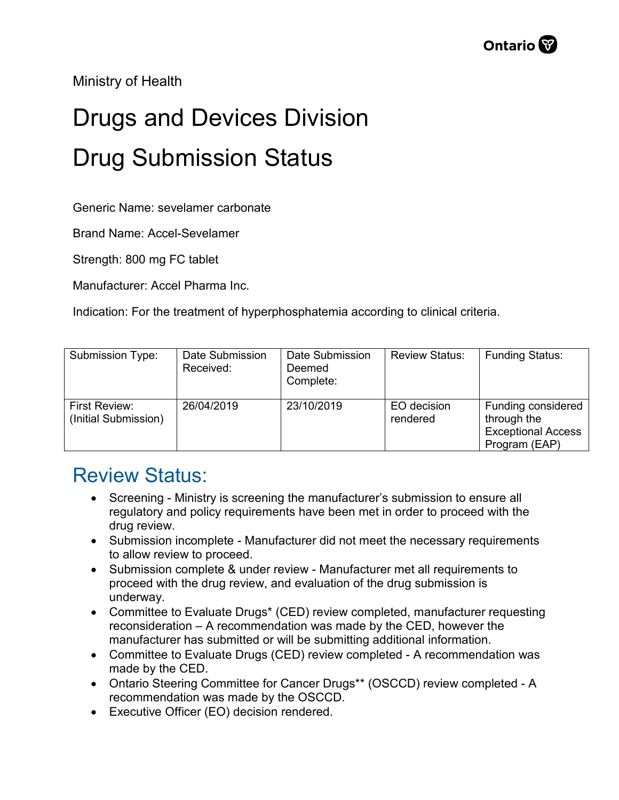Ministry of Health

## Drugs and Devices Division Drug Submission Status

Generic Name: sevelamer carbonate

Brand Name: Accel-Sevelamer

Strength: 800 mg FC tablet

Manufacturer: Accel Pharma Inc.

Indication: For the treatment of hyperphosphatemia according to clinical criteria.

| Submission Type:                      | Date Submission<br>Received: | Date Submission<br>Deemed<br>Complete: | <b>Review Status:</b>   | <b>Funding Status:</b>                                                          |
|---------------------------------------|------------------------------|----------------------------------------|-------------------------|---------------------------------------------------------------------------------|
| First Review:<br>(Initial Submission) | 26/04/2019                   | 23/10/2019                             | EO decision<br>rendered | Funding considered<br>through the<br><b>Exceptional Access</b><br>Program (EAP) |

## Review Status:

- Screening Ministry is screening the manufacturer's submission to ensure all regulatory and policy requirements have been met in order to proceed with the drug review.
- Submission incomplete Manufacturer did not meet the necessary requirements to allow review to proceed.
- Submission complete & under review Manufacturer met all requirements to proceed with the drug review, and evaluation of the drug submission is underway.
- Committee to Evaluate Drugs\* (CED) review completed, manufacturer requesting reconsideration – A recommendation was made by the CED, however the manufacturer has submitted or will be submitting additional information.
- Committee to Evaluate Drugs (CED) review completed A recommendation was made by the CED.
- Ontario Steering Committee for Cancer Drugs\*\* (OSCCD) review completed A recommendation was made by the OSCCD.
- Executive Officer (EO) decision rendered.